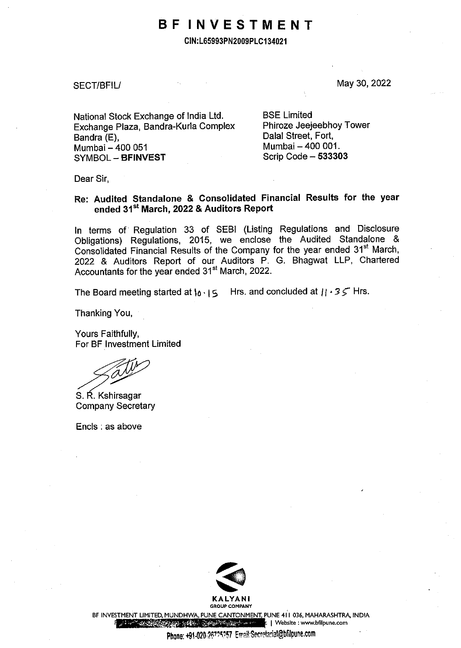# **BF INVESTMENT**

CIN:L65993PN2009PLC134021

SECT/BFIU

May 30, 2022

National Stock Exchange of India Ltd. Exchange Plaza, Bandra-Kurla Complex Bandra (E), Mumbai - 400 051 SYMBOL - **BFINVEST** 

BSE Limited Phiroze Jeejeebhoy Tower Dalal Street, Fort, Mumbai - 400 001. Scrip Code - **533303** 

Dear Sir,

# **Re: Audited Standalone** & **Consolidated Financial Results for the year ended 31 st March, 2022** & **Auditors Report**

In terms of Regulation 33 of SEBI (Listing Regulations and Disclosure Obligations) Regulations, 2015, we enclose the Audited Standalone & Consolidated Financial Results of the Company for the year ended 31<sup>st</sup> March, 2022 & Auditors Report of our Auditors P. G. Bhagwat LLP, Chartered Accountants for the year ended 31<sup>st</sup> March, 2022.

The Board meeting started at  $\{0, 15, \ldots\}$  Hrs. and concluded at  $\{1 \cdot 3 \leq H\}$  Hrs.

Thanking You,

Yours Faithfully, For BF Investment Limited

E. R. Kshirsagar<br>Company Secretary

Encls : as above



BF INVESTMENT LIMITED, MUNDHWA, PUNE CANTONMENT, PUNE 411 036, MAHARASHTRA, INDIA I Website : **www.bfilpune.com The American Server of the American Server of the American Server of the American Server of the American Server** 

Phone: +91-020-26725257 Email:Secretarial@bfilpune.com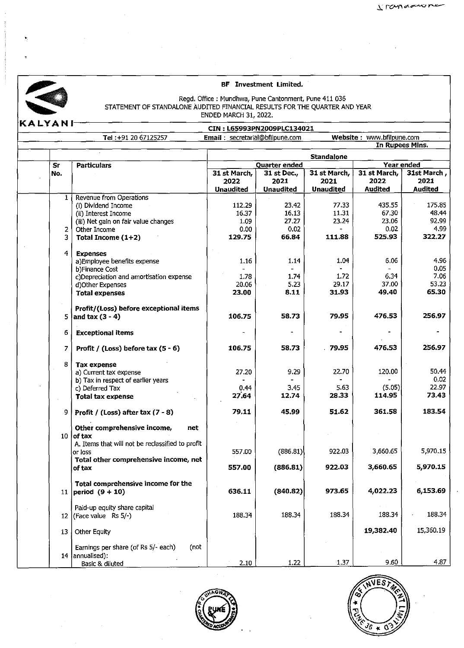

# **BF Investment Limited.**

Regd. Office : Mundhwa, Pune Cantonment, Pune 411 036<br>STATEMENT OF STANDALONE AUDITED FINANCIAL RESULTS FOR THE QUARTER AND YEAR<br>ENDED MARCH 31, 2022.

|  | KALYANI |  |  |  |  |  |  |  |  |
|--|---------|--|--|--|--|--|--|--|--|
|--|---------|--|--|--|--|--|--|--|--|

| 8 A L I A N I<br>CIN: L65993PN2009PLC134021 |                                                             |                                 |                     |                      |                           |                     |
|---------------------------------------------|-------------------------------------------------------------|---------------------------------|---------------------|----------------------|---------------------------|---------------------|
|                                             | Tel: +91 20 67125257                                        | Email: secretarial@bfilpune.com |                     |                      | Website: www.bfilpune.com |                     |
|                                             |                                                             |                                 |                     |                      | <b>In Rupees Mins.</b>    |                     |
|                                             |                                                             |                                 |                     | <b>Standalone</b>    |                           |                     |
| Sr                                          | <b>Particulars</b>                                          |                                 | Quarter ended       |                      | Year ended                |                     |
| No.                                         |                                                             | 31 st March,<br>2022            | 31 st Dec.,<br>2021 | 31 st March,<br>2021 | 31 st March,<br>2022      | 31st March,<br>2021 |
|                                             |                                                             | <b>Unaudited</b>                | <b>Unaudited</b>    | <b>Unaudited</b>     | <b>Audited</b>            | <b>Audited</b>      |
| 1                                           | Revenue from Operations                                     |                                 |                     |                      |                           |                     |
|                                             | (i) Dividend Income                                         | 112.29                          | 23.42               | 77.33                | 435.55                    | 175.85              |
|                                             | (ii) Interest Income                                        | 16.37                           | 16.13               | 11.31                | 67.30                     | 48.44               |
|                                             | (iii) Net gain on fair value changes                        | 1.09                            | 27.27               | 23.24                | 23.06                     | 92.99               |
| 2                                           | Other Income                                                | 0.00                            | 0.02                |                      | 0.02                      | 4.99                |
| 3                                           | Total Income $(1+2)$                                        | 129.75                          | 66.84               | 111.88               | 525.93                    | 322.27              |
|                                             |                                                             |                                 |                     |                      |                           |                     |
| 4                                           | <b>Expenses</b>                                             |                                 |                     |                      |                           |                     |
|                                             | a)Employee benefits expense                                 | 1.16                            | 1.14                | 1.04                 | 6.06                      | 4.96                |
|                                             | b)Finance Cost                                              |                                 |                     |                      |                           | 0.05                |
|                                             | c)Depreciation and amortisation expense                     | 1.78                            | 1.74                | 1.72                 | 6.34                      | 7.06                |
|                                             | d) Other Expenses                                           | 20.06                           | 5.23                | 29.17                | 37.00                     | 53.23               |
|                                             | <b>Total expenses</b>                                       | 23.00                           | 8.11                | 31.93                | 49.40                     | 65.30               |
|                                             |                                                             |                                 |                     |                      |                           |                     |
|                                             | Profit/(Loss) before exceptional items<br>and tax $(3 - 4)$ | 106.75                          | 58.73               | 79.95                | 476.53                    | 256.97              |
| 5                                           |                                                             |                                 |                     |                      |                           |                     |
| 6                                           | <b>Exceptional items</b>                                    |                                 |                     |                      |                           |                     |
| 7                                           | Profit / (Loss) before tax $(5 - 6)$                        | 106,75                          | 58.73               | .79.95               | 476.53                    | 256.97              |
| 8                                           | <b>Tax expense</b>                                          |                                 |                     |                      |                           |                     |
|                                             | a) Current tax expense                                      | 27.20                           | 9.29                | 22.70                | 120.00                    | 50.44               |
|                                             | b) Tax in respect of earlier years                          |                                 |                     |                      |                           | 0.02                |
|                                             | c) Deferred Tax                                             | 0.44                            | 3.45                | 5.63                 | (5.05)                    | 22.97               |
|                                             | <b>Total tax expense</b>                                    | 27.64                           | 12.74               | 28.33                | 114.95                    | 73.43               |
| 9                                           | Profit / (Loss) after $\text{tax}(7 - 8)$                   | 79.11                           | 45.99               | 51.62                | 361.58                    | 183.54              |
|                                             |                                                             |                                 |                     |                      |                           |                     |
|                                             | Other comprehensive income,<br>net                          |                                 |                     |                      |                           |                     |
|                                             | $10$ of tax                                                 |                                 |                     |                      |                           |                     |
|                                             | A. Items that will not be reclassified to profit            |                                 |                     |                      |                           |                     |
|                                             | or loss                                                     | 557.00                          | (886.81)            | 922.03               | 3,660.65                  | 5,970.15            |
|                                             | Total other comprehensive income, net                       |                                 |                     |                      |                           |                     |
|                                             | of tax                                                      | 557.00                          | (886.81)            | 922.03               | 3,660.65                  | 5,970.15            |
|                                             |                                                             |                                 |                     |                      |                           |                     |
|                                             | Total comprehensive income for the                          |                                 |                     |                      |                           |                     |
| 11 <sub>1</sub>                             | $\vert$ period (9 + 10)                                     | 636.11                          | (840.82)            | 973.65               | 4,022.23                  | 6,153.69            |
|                                             |                                                             |                                 |                     |                      |                           |                     |
|                                             | Paid-up equity share capital                                |                                 |                     |                      |                           |                     |
|                                             | 12 (Face value Rs 5/-)                                      | 188.34                          | 188.34              | 188.34               | 188.34                    | 188.34              |
|                                             |                                                             |                                 |                     |                      | 19,382.40                 | 15,360.19           |
| 13                                          | <b>Other Equity</b>                                         |                                 |                     |                      |                           |                     |
|                                             | Earnings per share (of Rs 5/- each)<br>(not                 |                                 |                     |                      |                           |                     |
|                                             | 14 annualised):                                             |                                 |                     |                      |                           |                     |
|                                             | Basic & diluted                                             | 2.10                            | 1.22                | 1.37                 | 9.60                      | 4.87                |
|                                             |                                                             |                                 |                     |                      |                           |                     |



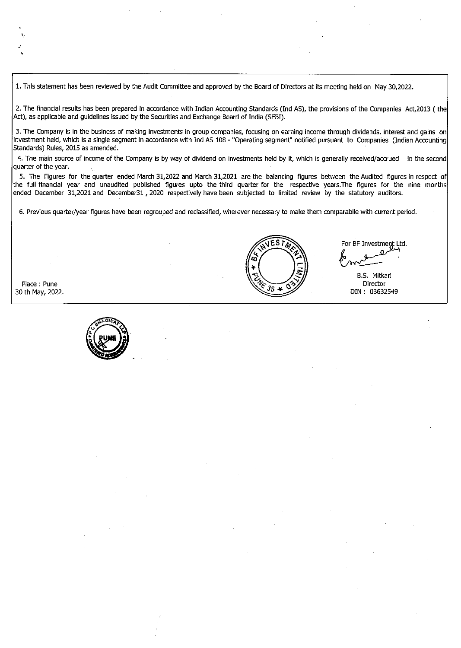1. This statement has been reviewed by the Audit Committee and approved by the Board of Directors at its meeting held on May 30,2022.

2. The financial results has been prepared in accordance with Indian Accounting Standards (Ind AS), the provisions of the Companies Act,2013 ( the Act), as applicable and guidelines issued by the Securities and Exchange Board of India (SEBI).

**3. The Company is in the business of making investments in group companies, focusing on earning income through dividends, interest and gains on**  investment held, which is a single segment in accordance with Ind AS 108 - "Operating segment" notified pursuant to Companies (Indian Accounting Standards) Rules, 2015 as amended.

4. The main source of income of the Company is by way of dividend on investments held by it, which is generally received/accrued in the second quarter of the year.

5. The Figures for the quarter ended March 31,2022 and March 31,2021 are the balancing figures between the Audited figures in respect of the full financial year and unaudited published figures upto the third quarter for the respective years.The figures for the nine months ended December 31,2021 and December31 , 2020 respectively have been subjected to limited review by the statutory auditors.

**6. Previous quarter/year figures have been regrouped and reclassified, wherever necessary to make them comparabile with current period.** 

Place: Pune 30 th May, 2022.





For BF Investment Ltd.

B.S. Mitkari **Director**  DIN : 03632549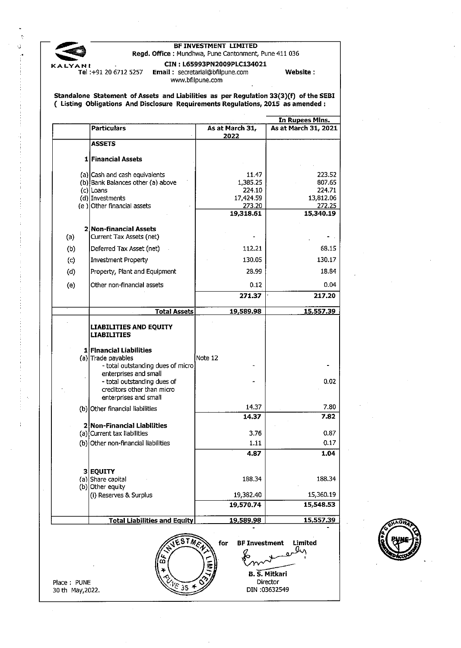

### ~ **lfllll"!:;;. BF INVESTMENT LIMITED**  Regd. Office: Mundhwa, Pune Cantonment, Pune 411 036

**KALYANI CIN** : **L65993PN2009PLC134021**  Tel :+91 20 6712 5257 **Email : secretarial@bfilpune.com Website:** 

www.bfilpune.com

**Standalone Statement of Assets and Liabilities as per Regulation 33(3)(f) of the SEBI**  ( **Listing Obligations And Disclosure Requirements Regulations, 2015 as amended** :

|            |                                                                                    |                         | In Rupees Mins.      |
|------------|------------------------------------------------------------------------------------|-------------------------|----------------------|
|            | <b>Particulars</b>                                                                 | As at March 31,<br>2022 | As at March 31, 2021 |
|            | <b>ASSETS</b>                                                                      |                         |                      |
|            | 1 Financial Assets                                                                 |                         |                      |
|            | (a) Cash and cash equivalents                                                      | 11.47                   | 223.52               |
|            | (b) Bank Balances other (a) above                                                  | 1,385.25                | 807.65               |
|            | $(c) $ Loans                                                                       | 224.10                  | 224.71               |
|            | (d) Investments                                                                    | 17,424.59               | 13,812.06            |
|            | (e) Other financial assets                                                         | 273.20                  | 272.25               |
|            |                                                                                    | 19,318.61               | 15,340.19            |
|            | 2 Non-financial Assets                                                             |                         |                      |
| $\epsilon$ | Current Tax Assets (net)                                                           |                         |                      |
| (b)        | Deferred Tax Asset (net)                                                           | 112.21                  | 68.15                |
| (c)        | Investment Property                                                                | 130.05                  | 130.17               |
| (d)        | Property, Plant and Equipment                                                      | 28.99                   | 18.84                |
| (e)        | Other non-financial assets                                                         | 0.12                    | 0.04                 |
|            |                                                                                    | 271.37                  | 217.20               |
|            | <b>Total Assets</b>                                                                | 19,589.98               | 15,557.39            |
|            | <b>LIABILITIES AND EQUITY</b><br><b>LIABILITIES</b><br>1 Financial Liabilities     |                         |                      |
|            |                                                                                    |                         |                      |
|            | (a) Trade payables<br>- total outstanding dues of micro                            | Note 12                 |                      |
|            | enterprises and small<br>- total outstanding dues of<br>creditors other than micro |                         | 0.02                 |
|            | enterprises and small                                                              |                         |                      |
|            | (b) Other financial liabilities                                                    | 14.37<br>14.37          | 7.80<br>7.82         |
|            | 2 Non-Financial Liabilities                                                        |                         |                      |
|            | (a) Current tax liabilities                                                        | 3.76                    | 0.87                 |
|            | (b) Other non-financial liabilities                                                | 1.11                    | 0.17                 |
|            |                                                                                    | 4.87                    | 1.04                 |
|            | 3 EQUITY                                                                           |                         |                      |
|            | (a) Share capital                                                                  | 188.34                  | 188.34               |
|            | (b) Other equity<br>(i) Reserves & Surplus                                         | 19,382.40               | 15,360.19            |
|            |                                                                                    | 19,570.74               | 15,548.53            |

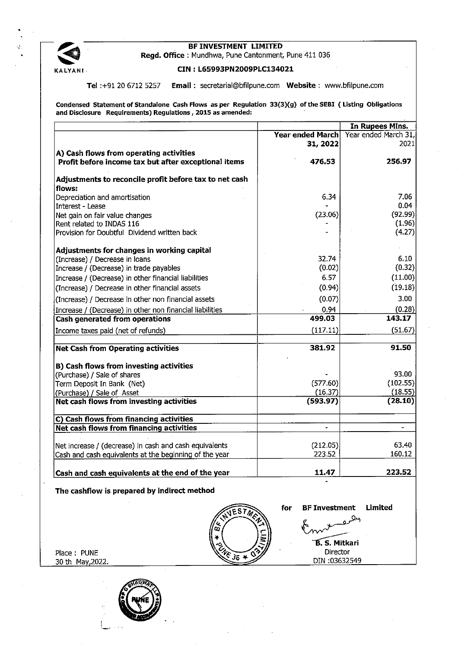# ~~ **BF INVESTMENT LIMITED**



**Regd. Office : Mundhwa, Pune Cantonment, Pune 411 036**<br>**CIN : L65993PN2009PLC134021** 

# **KALYANI. CIN** : **L65993PN2009PLC134021**

**Tel** : +91 20 6712 5257 **Email** : secretarial@bfilpune.com **Website:** www.bfilpune.com

**Condensed Statement of Standalone Cash Flows as per Regulation 33(3)(g) of** the **SEBI** ( **Listing Obligations and Disclosure Requirements) Regulations, 2015 as amended:** 

| 31, 2022<br>2021<br>A) Cash flows from operating activities<br>476.53<br>256.97<br>Profit before income tax but after exceptional items<br>Adjustments to reconcile profit before tax to net cash<br>flows:<br>7.06<br>6.34<br>Depreciation and amortisation<br>0.04<br>Interest - Lease<br>(92.99)<br>(23.06)<br>Net gain on fair value changes<br>(1.96)<br>Rent related to INDAS 116<br>(4.27)<br>Provision for Doubtful Dividend written back<br>Adjustments for changes in working capital<br>6.10<br>32.74<br>(Increase) / Decrease in loans<br>(0.32)<br>(0.02)<br>Increase / (Decrease) in trade payables<br>6.57<br>Increase / (Decrease) in other financial liabilities<br>(0.94)<br>(Increase) / Decrease in other financial assets<br>3.00<br>(0.07)<br>(Increase) / Decrease in other non financial assets<br>0.94<br>Increase / (Decrease) in other non financial liabilities<br>499.03<br>143.17<br><b>Cash generated from operations</b><br>(117.11)<br>Income taxes paid (net of refunds)<br>91.50<br>381.92<br><b>Net Cash from Operating activities</b><br><b>B) Cash flows from investing activities</b><br>93.00<br>(Purchase) / Sale of shares<br>(102.55)<br>(577.60)<br>Term Deposit In Bank (Net)<br>(18.55)<br>(16.37)<br>(Purchase) / Sale of Asset<br>Net cash flows from investing activities<br>(28.10)<br>(593.97)<br>C) Cash flows from financing activities<br>Net cash flows from financing activities<br>63.40<br>(212.05)<br>Net increase / (decrease) in cash and cash equivalents<br>160.12<br>Cash and cash equivalents at the beginning of the year<br>223.52<br>223.52<br>11.47<br>Cash and cash equivalents at the end of the year |                         | In Rupees Mins.      |
|------------------------------------------------------------------------------------------------------------------------------------------------------------------------------------------------------------------------------------------------------------------------------------------------------------------------------------------------------------------------------------------------------------------------------------------------------------------------------------------------------------------------------------------------------------------------------------------------------------------------------------------------------------------------------------------------------------------------------------------------------------------------------------------------------------------------------------------------------------------------------------------------------------------------------------------------------------------------------------------------------------------------------------------------------------------------------------------------------------------------------------------------------------------------------------------------------------------------------------------------------------------------------------------------------------------------------------------------------------------------------------------------------------------------------------------------------------------------------------------------------------------------------------------------------------------------------------------------------------------------------------------------------------------------------|-------------------------|----------------------|
|                                                                                                                                                                                                                                                                                                                                                                                                                                                                                                                                                                                                                                                                                                                                                                                                                                                                                                                                                                                                                                                                                                                                                                                                                                                                                                                                                                                                                                                                                                                                                                                                                                                                              | <b>Year ended March</b> | Year ended March 31, |
|                                                                                                                                                                                                                                                                                                                                                                                                                                                                                                                                                                                                                                                                                                                                                                                                                                                                                                                                                                                                                                                                                                                                                                                                                                                                                                                                                                                                                                                                                                                                                                                                                                                                              |                         |                      |
|                                                                                                                                                                                                                                                                                                                                                                                                                                                                                                                                                                                                                                                                                                                                                                                                                                                                                                                                                                                                                                                                                                                                                                                                                                                                                                                                                                                                                                                                                                                                                                                                                                                                              |                         |                      |
|                                                                                                                                                                                                                                                                                                                                                                                                                                                                                                                                                                                                                                                                                                                                                                                                                                                                                                                                                                                                                                                                                                                                                                                                                                                                                                                                                                                                                                                                                                                                                                                                                                                                              |                         |                      |
|                                                                                                                                                                                                                                                                                                                                                                                                                                                                                                                                                                                                                                                                                                                                                                                                                                                                                                                                                                                                                                                                                                                                                                                                                                                                                                                                                                                                                                                                                                                                                                                                                                                                              |                         |                      |
|                                                                                                                                                                                                                                                                                                                                                                                                                                                                                                                                                                                                                                                                                                                                                                                                                                                                                                                                                                                                                                                                                                                                                                                                                                                                                                                                                                                                                                                                                                                                                                                                                                                                              |                         |                      |
|                                                                                                                                                                                                                                                                                                                                                                                                                                                                                                                                                                                                                                                                                                                                                                                                                                                                                                                                                                                                                                                                                                                                                                                                                                                                                                                                                                                                                                                                                                                                                                                                                                                                              |                         |                      |
|                                                                                                                                                                                                                                                                                                                                                                                                                                                                                                                                                                                                                                                                                                                                                                                                                                                                                                                                                                                                                                                                                                                                                                                                                                                                                                                                                                                                                                                                                                                                                                                                                                                                              |                         |                      |
|                                                                                                                                                                                                                                                                                                                                                                                                                                                                                                                                                                                                                                                                                                                                                                                                                                                                                                                                                                                                                                                                                                                                                                                                                                                                                                                                                                                                                                                                                                                                                                                                                                                                              |                         |                      |
|                                                                                                                                                                                                                                                                                                                                                                                                                                                                                                                                                                                                                                                                                                                                                                                                                                                                                                                                                                                                                                                                                                                                                                                                                                                                                                                                                                                                                                                                                                                                                                                                                                                                              |                         |                      |
|                                                                                                                                                                                                                                                                                                                                                                                                                                                                                                                                                                                                                                                                                                                                                                                                                                                                                                                                                                                                                                                                                                                                                                                                                                                                                                                                                                                                                                                                                                                                                                                                                                                                              |                         |                      |
|                                                                                                                                                                                                                                                                                                                                                                                                                                                                                                                                                                                                                                                                                                                                                                                                                                                                                                                                                                                                                                                                                                                                                                                                                                                                                                                                                                                                                                                                                                                                                                                                                                                                              |                         |                      |
|                                                                                                                                                                                                                                                                                                                                                                                                                                                                                                                                                                                                                                                                                                                                                                                                                                                                                                                                                                                                                                                                                                                                                                                                                                                                                                                                                                                                                                                                                                                                                                                                                                                                              |                         |                      |
|                                                                                                                                                                                                                                                                                                                                                                                                                                                                                                                                                                                                                                                                                                                                                                                                                                                                                                                                                                                                                                                                                                                                                                                                                                                                                                                                                                                                                                                                                                                                                                                                                                                                              |                         |                      |
|                                                                                                                                                                                                                                                                                                                                                                                                                                                                                                                                                                                                                                                                                                                                                                                                                                                                                                                                                                                                                                                                                                                                                                                                                                                                                                                                                                                                                                                                                                                                                                                                                                                                              |                         | (11.00)              |
|                                                                                                                                                                                                                                                                                                                                                                                                                                                                                                                                                                                                                                                                                                                                                                                                                                                                                                                                                                                                                                                                                                                                                                                                                                                                                                                                                                                                                                                                                                                                                                                                                                                                              |                         | (19.18)              |
|                                                                                                                                                                                                                                                                                                                                                                                                                                                                                                                                                                                                                                                                                                                                                                                                                                                                                                                                                                                                                                                                                                                                                                                                                                                                                                                                                                                                                                                                                                                                                                                                                                                                              |                         |                      |
|                                                                                                                                                                                                                                                                                                                                                                                                                                                                                                                                                                                                                                                                                                                                                                                                                                                                                                                                                                                                                                                                                                                                                                                                                                                                                                                                                                                                                                                                                                                                                                                                                                                                              |                         | (0.28)               |
|                                                                                                                                                                                                                                                                                                                                                                                                                                                                                                                                                                                                                                                                                                                                                                                                                                                                                                                                                                                                                                                                                                                                                                                                                                                                                                                                                                                                                                                                                                                                                                                                                                                                              |                         |                      |
|                                                                                                                                                                                                                                                                                                                                                                                                                                                                                                                                                                                                                                                                                                                                                                                                                                                                                                                                                                                                                                                                                                                                                                                                                                                                                                                                                                                                                                                                                                                                                                                                                                                                              |                         | (51.67)              |
|                                                                                                                                                                                                                                                                                                                                                                                                                                                                                                                                                                                                                                                                                                                                                                                                                                                                                                                                                                                                                                                                                                                                                                                                                                                                                                                                                                                                                                                                                                                                                                                                                                                                              |                         |                      |
|                                                                                                                                                                                                                                                                                                                                                                                                                                                                                                                                                                                                                                                                                                                                                                                                                                                                                                                                                                                                                                                                                                                                                                                                                                                                                                                                                                                                                                                                                                                                                                                                                                                                              |                         |                      |
|                                                                                                                                                                                                                                                                                                                                                                                                                                                                                                                                                                                                                                                                                                                                                                                                                                                                                                                                                                                                                                                                                                                                                                                                                                                                                                                                                                                                                                                                                                                                                                                                                                                                              |                         |                      |
|                                                                                                                                                                                                                                                                                                                                                                                                                                                                                                                                                                                                                                                                                                                                                                                                                                                                                                                                                                                                                                                                                                                                                                                                                                                                                                                                                                                                                                                                                                                                                                                                                                                                              |                         |                      |
|                                                                                                                                                                                                                                                                                                                                                                                                                                                                                                                                                                                                                                                                                                                                                                                                                                                                                                                                                                                                                                                                                                                                                                                                                                                                                                                                                                                                                                                                                                                                                                                                                                                                              |                         |                      |
|                                                                                                                                                                                                                                                                                                                                                                                                                                                                                                                                                                                                                                                                                                                                                                                                                                                                                                                                                                                                                                                                                                                                                                                                                                                                                                                                                                                                                                                                                                                                                                                                                                                                              |                         |                      |
|                                                                                                                                                                                                                                                                                                                                                                                                                                                                                                                                                                                                                                                                                                                                                                                                                                                                                                                                                                                                                                                                                                                                                                                                                                                                                                                                                                                                                                                                                                                                                                                                                                                                              |                         |                      |
|                                                                                                                                                                                                                                                                                                                                                                                                                                                                                                                                                                                                                                                                                                                                                                                                                                                                                                                                                                                                                                                                                                                                                                                                                                                                                                                                                                                                                                                                                                                                                                                                                                                                              |                         |                      |
|                                                                                                                                                                                                                                                                                                                                                                                                                                                                                                                                                                                                                                                                                                                                                                                                                                                                                                                                                                                                                                                                                                                                                                                                                                                                                                                                                                                                                                                                                                                                                                                                                                                                              |                         |                      |
|                                                                                                                                                                                                                                                                                                                                                                                                                                                                                                                                                                                                                                                                                                                                                                                                                                                                                                                                                                                                                                                                                                                                                                                                                                                                                                                                                                                                                                                                                                                                                                                                                                                                              |                         |                      |
|                                                                                                                                                                                                                                                                                                                                                                                                                                                                                                                                                                                                                                                                                                                                                                                                                                                                                                                                                                                                                                                                                                                                                                                                                                                                                                                                                                                                                                                                                                                                                                                                                                                                              |                         |                      |
|                                                                                                                                                                                                                                                                                                                                                                                                                                                                                                                                                                                                                                                                                                                                                                                                                                                                                                                                                                                                                                                                                                                                                                                                                                                                                                                                                                                                                                                                                                                                                                                                                                                                              |                         |                      |
|                                                                                                                                                                                                                                                                                                                                                                                                                                                                                                                                                                                                                                                                                                                                                                                                                                                                                                                                                                                                                                                                                                                                                                                                                                                                                                                                                                                                                                                                                                                                                                                                                                                                              |                         |                      |

# **The cashflow is prepared by indirect method**



for BF Investment Limited<br>  $\begin{bmatrix}\n\cdot & \cdot & \cdot & \cdot \\
\cdot & \cdot & \cdot & \cdot \\
\cdot & \cdot & \cdot & \cdot \\
\cdot & \cdot & \cdot & \cdot \\
\cdot & \cdot & \cdot & \cdot\n\end{bmatrix}$ <br> **B. S. Mitkari** 

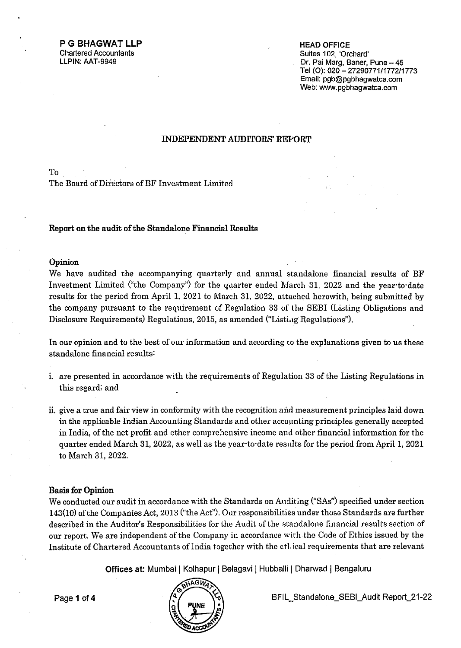**PG BHAGWAT LLP**  Chartered Accountants LLPIN: AAT-9949

# **HEAD OFFICE**

Suites 102, 'Orchard' Dr. Pai Marg, Baner, Pune - 45 Tel (0): 020 -27290771/1772/1773 Email: pgb@pgbhagwatca.com Web: www.pgbhagwatca.com

# **INDEPENDENT AUDITORS' REFORT**

To The Board of Directors of BF Investment Limited

# **Report on the audit of the Standalone Financial Results**

## **Opinion**

We have audited the accompanying quarterly and annual standalone financial results of BF Investment Limited ("the Company") for the quarter ended March 31, 2022 and the year-to-date results for the period from April 1, 2021 to March 31, 2022, attached herewith, being submitted by the company pursuant to the requirement of Regulation 33 of the SEBI (Listing Obligations and Disclosure Requirements) Regulations, 2015, as amended ("Listing Regulations").

In our opinion and to the best of our information and according to the explanations given to us these standalone financial results:

- i. are presented in accordance with the requirements of Regulation 33 of the Listing Regulations in this regard; and
- ii. give a true and fair view in conformity with the recognition and measurement principles laid down **in** the applicable Indian Accounting Standards and other accounting principles generally accepted in India, of the net profit and other comprehensive income and other financial information for the quarter ended March 31, 2022, as well as the year-to-date results for the period from April 1, 2021 to March 31, 2022.

## **Basis for Opinion**

We conducted our audit in accordance with the Standards on Auditing ("SAs") specified under section 143(10) of the Companies Act, 2013 ("the Act"). Our responsibilities under those Standards are further described in the Auditor's Responsibilities for the Audit of the standalone financial results section of our report. We are independent of the Company in accordance with the Code of Ethics issued by the Institute of Chartered Accountants of India together with the ethical requirements that are relevant

**Offices at: Mumbai | Kolhapur | Belagavi | Hubballi | Dharwad | Bengaluru** 



Page **1** of **4**  $\binom{9}{2}$   $\binom{5}{1}$  BFIL Standalone\_SEBI\_Audit Report\_21-22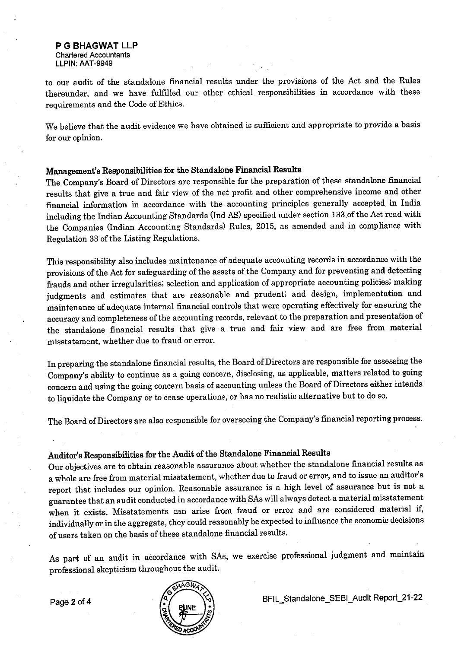## **P G BHAGWAT LLP**  Chartered Accountants LLPIN: AAT-9949

to our audit of the standalone financial results under the provisions of the Act and the Rules thereunder, and we have fulfilled our other ethical responsibilities in accordance with these requirements and the Code of Ethics.

We believe that the audit evidence we have obtained is sufficient and appropriate to provide a basis for our opinion.

# Management's Responsibilities for the Standalone Financial Results

The Company's Board of Directors are responsible for the preparation of these standalone financial results that give a true and fair view of the net profit and other comprehensive income and other financial information in accordance with the accounting principles generally accepted in India including the Indian Accounting Standards (Ind AS) specified under section 133 of the Act read with the Companies (Indian Accounting Standards) Rules, 2015, as amended and in compliance with Regulation 33 of the Listing Regulations.

This responsibility also includes maintenance of adequate accounting records in accordance with the provisions of the Act for safeguarding of the assets of the Company and for preventing and detecting frauds and other irregularities; selection and application of appropriate accounting policies; making judgments and estimates that are reasonable and prudent; and design, implementation and maintenance of adequate internal financial controls that were operating effectively for ensuring the accuracy and completeness of the accounting records, relevant to the preparation and presentation of the standalone financial results that give a true and fair view and are free from material misstatement, whether due to fraud or error.

In preparing the standalone financial results, the Board of Directors are responsible for assessing the Company's ability to continue as a going concern, disclosing, as applicable, matters related to going concern and using the going concern basis of accounting unless the Board of Directors either intends to liquidate the Company or to cease operations, or has no realistic alternative but to do so.

The Board of Directors are also responsible for overseeing the Company's financial reporting process.

# Auditor's Responsibilities for the Audit of the Standalone Financial Results

Our objectives are to obtain reasonable assurance about whether the standalone financial results as a whole are free from material misstatement, whether due to fraud or error, and to issue an auditor's report that includes our opinion. Reasonable assurance is a high level of assurance but is not a guarantee that an audit conducted in accordance with SAs will always detect a material misstatement when it exists. Misstatements can arise from fraud or error and are considered material if, individually or in the aggregate, they could reasonably be expected to influence the economic decisions of users taken on the basis of these standalone financial results.

As part of an audit in accordance with SAs, we exercise professional judgment and maintain professional skepticism throughout the audit.



Page 2 of 4  $\binom{a}{r}$  **BFIL\_Standalone\_SEBI\_Audit Report\_21-22**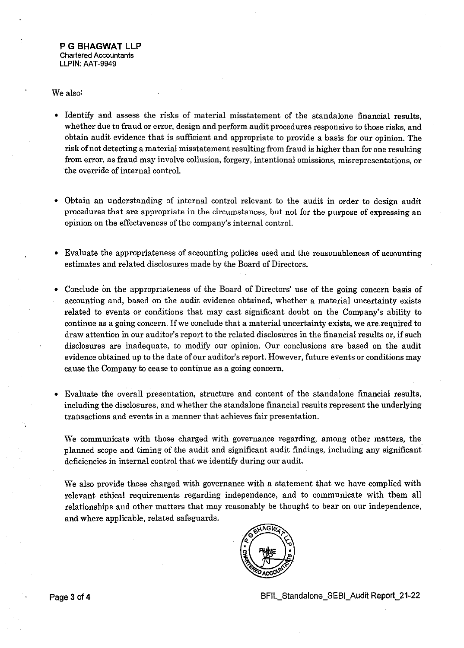We also:

- Identify and assess the risks of material misstatement of the standalone financial results, whether due to fraud or error, design and perform audit procedures responsive to those risks, and obtain audit evidence that is sufficient and appropriate to provide a basis for our opinion. The risk of not detecting a material misstatement resulting from fraud is higher than for one resulting from error, as fraud may involve collusion, forgery, intentional omissions, misrepresentations, or the override of internal control.
- Obtain an understanding of internal control relevant to the audit in order to design audit procedures that are appropriate in the circumstances, but not for the purpose of expressing an opinion on the effectiveness of the company's internal control.
- Evaluate the appropriateness of accounting policies used and the reasonableness of accounting estimates and related disclosures made by the Board of Directors.
- Conclude on the appropriateness of the Board of Directors' use of the going concern basis of accounting and, based on the audit evidence obtained, whether a material uncertainty exists related to events or conditions that may cast significant doubt on the Company's ability to continue as a going concern. If we conclude that a material uncertainty exists, we are required to draw attention in our auditor's report to the related disclosures in the financial results or, if such disclosures are inadequate, to modify our opinion. Our conclusions are based on the audit evidence obtained up to the date of our auditor's report. However, future events or conditions may cause the Company to cease to continue as a going concern.
- Evaluate the overall presentation, structure and content of the standalone financial results, including the disclosures, and whether the standalone financial results represent the underlying transactions and events in a manner that achieves fair presentation.

We communicate with those charged with governance regarding, among other matters, the planned scope and timing of the audit and significant audit findings, including any significant deficiencies in internal control that we identify during our audit.

We also provide those charged with governance with a statement that we have complied with relevant ethical requirements regarding independence, and to communicate with them all relationships and other matters that may reasonably be thought to bear on our independence, and where applicable, related safeguards.

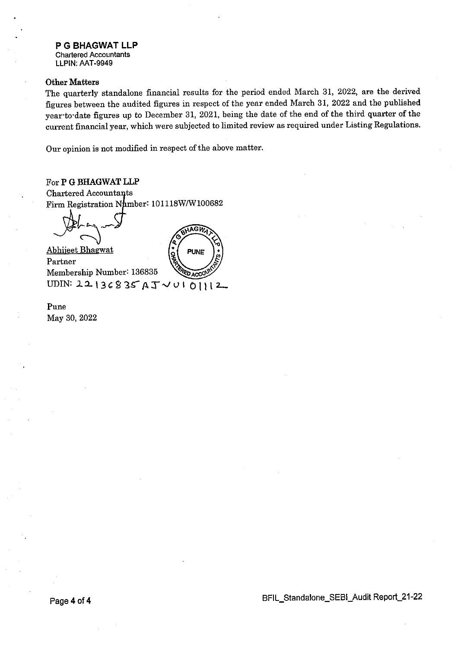## **P G BHAGWAT LLP**  Chartered Accountants LLPIN: AAT-9949

# **Other Matters**

The quarterly standalone financial results for the period ended March 31, 2022, are the derived figures between the audited figures in respect of the year ended March 31, 2022 and the published year-to-date figures up to December 31, 2021, being the date of the end of the third quarter of the current financial year, which were subjected to limited review as required under Listing Regulations.

Our opinion is not modified in respect of the above matter.

# For **PG BHAGWAT LLP**

Chartered Accountants<br>**Firm Registration Number: 101118W/W100682** 

Abhijeet Bhagwat  $r$  PUNE<br>Partner  $\frac{r}{2}$  PUNE<br>Membership Number: 136835  $M$ embership Number: 136835 UDIN: 22136835AJVU10112

Pune May 30, 2022

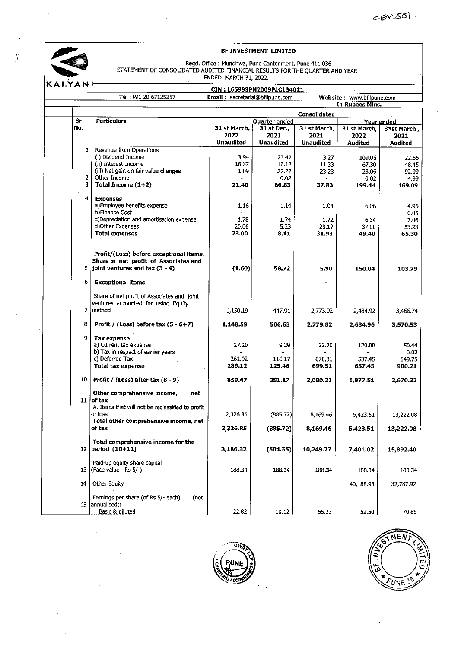

 $\ddot{\cdot}$ 

**EXECUTE ASSESSMENT LIMITED**<br>Regd. Office : Mundhwa, Pune Cantonment, Regd. Office : Mundhwa, Pune Cantonment, Pune 411 036<br>STATEMENT OF CONSOLIDATED AUDITED FINANCIAL RESULTS FOR THE QUARTER.<br>ENDED MARCH 31, 2022. STATEMENT OF CONSOLIDATED AUDITED FINANCIAL RESULTS FOR THE QUARTER AND YEAR ENDED MARCH 31, 2022.

|           | ART<br>CIN: L65993PN2009PLC134021           |                                        |                                         |                                          |                                 |                                |  |
|-----------|---------------------------------------------|----------------------------------------|-----------------------------------------|------------------------------------------|---------------------------------|--------------------------------|--|
|           | Tel: +91 20 67125257                        | <b>Email:</b> secretarial@bfilpune.com |                                         |                                          | Website: www.bfilpune.com       |                                |  |
|           |                                             |                                        |                                         |                                          | In Rupees Mins.                 |                                |  |
|           |                                             |                                        |                                         | <b>Consolidated</b>                      |                                 |                                |  |
| <b>Sr</b> | <b>Particulars</b>                          | Quarter ended                          |                                         |                                          |                                 | Year ended                     |  |
| No.       |                                             | 31 st March.<br>2022<br>Unaudited      | 31 st Dec.,<br>2021<br><b>Unaudited</b> | 31 st March.<br>2021<br><b>Unaudited</b> | 31 st March,<br>2022<br>Audited | 31st March.<br>2021<br>Audited |  |
|           | Revenue from Operations                     |                                        |                                         |                                          |                                 |                                |  |
|           | (i) Dividend Income<br>(ii) Interest Income | 3.94<br>16.37                          | 23.42<br>16.12                          | 3.27<br>11.33                            | 109.06<br>67.30                 | 22.66<br>48.45                 |  |
|           |                                             | $\sim$ $\sim$ $\sim$                   | ---                                     |                                          |                                 |                                |  |

|    | (i) Dividend Income<br>(ii) Interest Income<br>(iii) Net gain on fair value changes | 3.94<br>16.37<br>1.09 | 23.42<br>16.12<br>27.27 | 3.27<br>11.33<br>23.23 | 109.06<br>67.30<br>23.06 | 22.66<br>48.45<br>92.99 |
|----|-------------------------------------------------------------------------------------|-----------------------|-------------------------|------------------------|--------------------------|-------------------------|
| 2  | Other Income                                                                        |                       | 0.02                    |                        | 0.02                     | 4.99                    |
| 3  | Total Income $(1+2)$                                                                | 21.40                 | 66.83                   | 37.83                  | 199.44                   | 169.09                  |
| 4  | <b>Expenses</b><br>a)Employee benefits expense                                      | 1.16                  | 1.14                    | 1.04                   | 6.06                     | 4.96                    |
|    | b)Finance Cost                                                                      |                       |                         |                        |                          | 0.05                    |
|    | c)Depreciation and amortisation expense                                             | 1.78                  | 1.74                    | 1.72                   | 6.34                     | 7.06                    |
|    | d)Other Expenses                                                                    | 20.06                 | 5.23                    | 29.17                  | 37.00                    | 53.23                   |
|    | <b>Total expenses</b>                                                               | 23.00                 | 8.11                    | 31.93                  | 49.40                    | 65.30                   |
|    | Profit/(Loss) before exceptional items,<br>Share in net profit of Associates and    |                       |                         |                        |                          |                         |
| 5  | joint ventures and tax $(3 - 4)$                                                    | (1.60)                | 58.72                   | 5.90                   | 150.04                   | 103.79                  |
| 6  | <b>Exceptional items</b>                                                            |                       |                         |                        |                          |                         |
|    | Share of net profit of Associates and joint<br>ventures accounted for using Equity  |                       |                         |                        |                          |                         |
| 7  | Imethod                                                                             | 1,150.19              | 447.91                  | 2,773.92               | 2,484.92                 | 3,466.74                |
| 8  | Profit / (Loss) before tax $(5 - 6 + 7)$                                            | 1,148.59              | 506.63                  | 2,779.82               | 2,634.96                 | 3,570.53                |
| 9  | <b>Tax expense</b>                                                                  |                       |                         |                        |                          |                         |
|    | a) Current tax expense                                                              | 27.20                 | 9.29                    | 22.70                  | 120.00                   | 50.44                   |
|    | b) Tax in respect of earlier years<br>c) Deferred Tax                               |                       |                         |                        |                          | 0.02                    |
|    | <b>Total tax expense</b>                                                            | 261.92<br>289.12      | 116.17<br>125.46        | 676.81<br>699.51       | 537.45<br>657.45         | 849.75<br>900.21        |
|    |                                                                                     |                       |                         |                        |                          |                         |
| 10 | Profit / (Loss) after tax $(8 - 9)$                                                 | 859.47                | 381.17                  | 2,080.31               | 1,977.51                 | 2,670.32                |
|    | Other comprehensive income,<br>net                                                  |                       |                         |                        |                          |                         |
|    | 11 of tax<br>A. Items that will not be reclassified to profit                       |                       |                         |                        |                          |                         |
|    | or loss                                                                             | 2,326.85              | (885.72)                | 8,169.46               | 5,423.51                 | 13,222.08               |
|    | Total other comprehensive income, net                                               |                       |                         |                        |                          |                         |
|    | of tax                                                                              | 2,326.85              | (885.72)                | 8,169.46               | 5,423.51                 | 13,222.08               |
|    | Total comprehensive income for the                                                  |                       |                         |                        |                          |                         |
|    | 12   period $(10+11)$                                                               | 3.186.32              | (504.55)                | 10,249.77              | 7,401.02                 | 15,892.40               |
|    | Paid-up equity share capital                                                        |                       |                         |                        |                          |                         |
|    | 13 (Face value Rs $5/-$ )                                                           | 188.34                | 188.34                  | 188.34                 | 188.34                   | 188.34                  |
| 14 | <b>Other Equity</b>                                                                 |                       |                         |                        | 40,188.93                | 32,787.92               |
|    | Earnings per share (of Rs 5/- each)<br>(not                                         |                       |                         |                        |                          |                         |
|    | 15   annualised):<br>Basic & diluted                                                | 22.82                 | 10.12                   | 55.23                  | 52.50                    | 70.89                   |
|    |                                                                                     |                       |                         |                        |                          |                         |



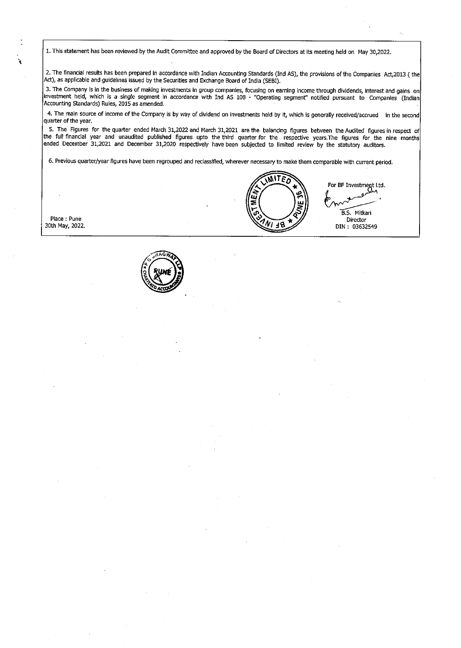1. This statement has been reviewed by the Audit Committee and approved by the Board of Directors at its meeting held on May 30,2022.

2. The financial results has been prepared in accordance with Indian Accounting Standards (Ind AS), the provisions of the Companies Act,2013 (the Act), as applicable and guidelines issued by the Securities and Exchange Board of India (SEBI).

3. The Company is in the business of making investments in group companies, focusing on earning income through dividends, interest and gains on investment held, which is a single segment in accordance with Ind AS 108 - "Operating segment" notified pursuant to Companies (Indian Accounting Standards) Rules, 2015 as amended.

4. The main source of income of the Company is by way of dividend on investments held by it, which is generally received/accrued in the second quarter of the year.

5. The Figures for the quarter ended March 31,2022 and March 31,2021 are the balancing figures between the Audited figures in respect of the full financial year and unaudited published figures upto the third quarter for the respective years.The figures for the nine months ended December 31,2021 and December 31,2020 respectively have been subjected to limited review by the statutory auditors.

6. Previous quarter/year figures have been regrouped and reclassified, wherever necessary to make them comparable with current period.

Place: Pune 30th May, 2022.

à

**MITER** ù 49

For BF Investment Ltd. B.S. Mitkari Director DIN : 03632549

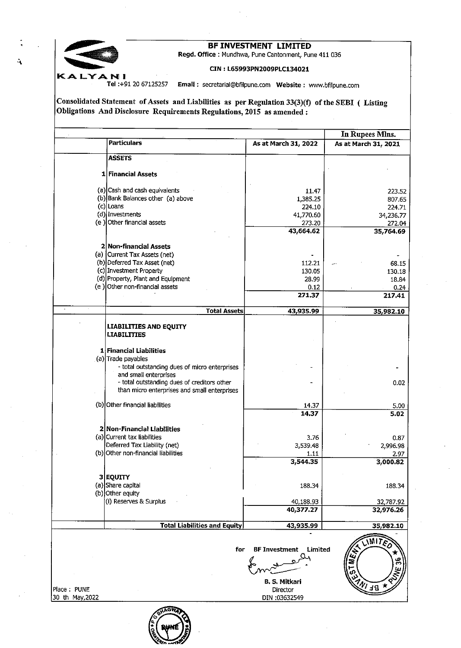

÷.

# **BF INVESTMENT LIMITED**

**Regd. Office: Mundhwa, Pune Cantonment, Pune 411 036** 

## CIN:L65993PN2009PLC134021

**KALYANI Tel:**+91 20 67125257

**Email : secretarial@bfilpune.com Website : www.bfilpune.com** 

**Consolidated Statement of Assets and Liabilities as per Regnlation 33(3)(1) of the SEBI** ( **Listing Obligations And Disclosure Requirements Regulations, 2015 as amended** :

|                 |                                                     |                                        | In Rupees Mlns.                     |
|-----------------|-----------------------------------------------------|----------------------------------------|-------------------------------------|
|                 | <b>Particulars</b>                                  | As at March 31, 2022                   | As at March 31, 2021                |
|                 | <b>ASSETS</b>                                       |                                        |                                     |
|                 | <b>1 Financial Assets</b>                           |                                        |                                     |
|                 | (a) Cash and cash equivalents                       | 11.47                                  | 223.52                              |
|                 | (b) Bank Balances other (a) above                   | 1,385.25                               | 807.65                              |
|                 | (c) Loans                                           | 224.10                                 | 224.71                              |
|                 | (d) Investments                                     | 41,770.60                              | 34,236.77                           |
|                 | (e) Other financial assets                          | 273.20                                 | 272.04                              |
|                 |                                                     | 43,664.62                              | 35,764.69                           |
|                 |                                                     |                                        |                                     |
|                 | 2 Non-financial Assets                              |                                        |                                     |
|                 | (a) Current Tax Assets (net)                        |                                        |                                     |
|                 | (b) Deferred Tax Asset (net)                        | 112.21                                 | 68.15                               |
|                 | (c) Investment Property                             | 130.05                                 | 130.18                              |
|                 | (d) Property, Plant and Equipment                   | 28.99                                  | 18.84                               |
|                 | (e) Other non-financial assets                      | 0.12                                   | 0.24                                |
|                 |                                                     | 271.37                                 | 217.41                              |
|                 | <b>Total Assets</b>                                 | 43,935.99                              | 35,982.10                           |
|                 |                                                     |                                        |                                     |
|                 | <b>LIABILITIES AND EQUITY</b><br><b>LIABILITIES</b> |                                        |                                     |
|                 | 1 Financial Liabilities                             |                                        |                                     |
|                 | (a) Trade payables                                  |                                        |                                     |
|                 | - total outstanding dues of micro enterprises       |                                        |                                     |
|                 | and small enterprises                               |                                        |                                     |
|                 | - total outstanding dues of creditors other         |                                        | 0.02                                |
|                 | than micro enterprises and small enterprises        |                                        |                                     |
|                 | (b) Other financial liabilities                     |                                        |                                     |
|                 |                                                     | 14.37<br>14.37                         | 5.00<br>5.02                        |
|                 |                                                     |                                        |                                     |
|                 | 2 Non-Financial Liabilities                         |                                        |                                     |
|                 | (a) Current tax liabilities                         | 3.76                                   | 0.87                                |
|                 | Deferred Tax Liability (net)                        | 3,539.48                               | 2,996.98                            |
|                 | (b) Other non-financial liabilities                 | 1.11                                   | 2.97                                |
|                 |                                                     | 3,544.35                               | 3,000.82                            |
|                 | 3 EQUITY                                            |                                        |                                     |
|                 | (a) Share capital                                   |                                        |                                     |
|                 |                                                     | 188.34                                 | 188.34                              |
|                 | (b) Other equity<br>(i) Reserves & Surplus          |                                        |                                     |
|                 |                                                     | 40,188.93<br>40,377.27                 | 32,787.92                           |
|                 |                                                     |                                        | 32,976.26                           |
|                 | <b>Total Liabilities and Equity</b>                 | 43,935.99                              | 35,982.10                           |
|                 | for                                                 | <b>BF Investment</b><br><b>Limited</b> | <b>CALLES</b><br>TWENS<br><b>SE</b> |
|                 |                                                     | <b>B. S. Mitkari</b>                   |                                     |
| Place: PUNE     |                                                     | Director                               | 观理                                  |
| 30 th May, 2022 |                                                     | DIN:03632549                           |                                     |
|                 |                                                     |                                        |                                     |

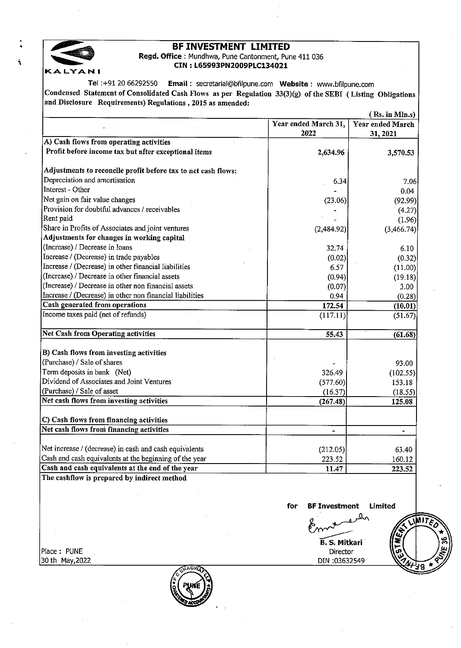

È

**EXAMPLE BE INVESTMENT LIMITED**<br> **Regd. Office: Mundhwa, Pune Cantonment, Pune 411 036**<br>
CIN: L65993PN2009PLC134021 **CIN : L65993PN2009PLC134021** 

Tel :+91 20 66292550 **Email** : secretarial@bfilpune.com **Website** : www.bfilpune.com **Condensed Statement of Consolidated Cash Flows as per Regulation 33(3)(g) of** the SEBI ( **Listing Obligations and Disclosure Requirements) Regulations, 2015 as amended:** 

|                                                               |                      | (Rs. in Mln.s)   |
|---------------------------------------------------------------|----------------------|------------------|
|                                                               | Year ended March 31, | Year ended March |
|                                                               | 2022                 | 31, 2021         |
| A) Cash flows from operating activities                       |                      |                  |
| Profit before income tax but after exceptional items          | 2,634.96             | 3,570.53         |
| Adjustments to reconcile profit before tax to net cash flows: |                      |                  |
| Depreciation and amortisation                                 | 6.34                 | 7.06             |
| Interest - Other                                              |                      | 0.04             |
| Net gain on fair value changes                                | (23.06)              | (92.99)          |
| Provision for doubtful advances / receivables                 |                      | (4.27)           |
| Rent paid                                                     |                      | (1.96)           |
| Share in Profits of Associates and joint ventures             | (2,484.92)           | (3,466.74)       |
| Adjustments for changes in working capital                    |                      |                  |
| (Increase) / Decrease in loans                                | 32.74                | 6.10             |
| Increase / (Decrease) in trade payables                       | (0.02)               | (0.32)           |
| Increase / (Decrease) in other financial liabilities          | 6.57                 | (11.00)          |
| (Increase) / Decrease in other financial assets               | (0.94)               | (19.18)          |
| (Increase) / Decrease in other non financial assets           | (0.07)               | 3.00             |
| Increase / (Decrease) in other non financial liabilities      | 0.94                 | (0.28)           |
| Cash generated from operations                                | 172.54               | (10.01)          |
| Income taxes paid (net of refunds)                            | (117.11)             | (51.67)          |
| Net Cash from Operating activities                            | 55.43                | (61.68)          |
| B) Cash flows from investing activities                       |                      |                  |
| (Purchase) / Sale of shares                                   |                      | 93.00            |
| Term deposits in bank (Net)                                   | 326.49               | (102.55)         |
| Dividend of Associates and Joint Ventures                     | (577.60)             | 153.18           |
| (Purchase) / Sale of asset                                    | (16.37)              | (18.55)          |
| Net cash flows from investing activities                      | (267.48)             | 125.08           |
| C) Cash flows from financing activities                       |                      |                  |
| Net cash flows from financing activities                      | $\blacksquare$       | $\blacksquare$   |
|                                                               |                      |                  |
| Net increase / (decrease) in cash and cash equivalents        | (212.05)             | 63.40            |
| Cash and cash equivalents at the beginning of the year        | 223.52               | 160.12           |
| Cash and cash equivalents at the end of the year              | 11.47                | 223.52           |
| The cashflow is prepared by indirect method                   |                      |                  |



**for BF Investment Limited** 



~ II•' ,:'? □ \* B. **S. Mitkari B. S. Mitkari III.**<br>Director **1990**  $\frac{30 \text{ th}}{20 \text{ th}}$  DIN :03632549 **ALACTER BESSEDS IN SUBSSESS WARDER**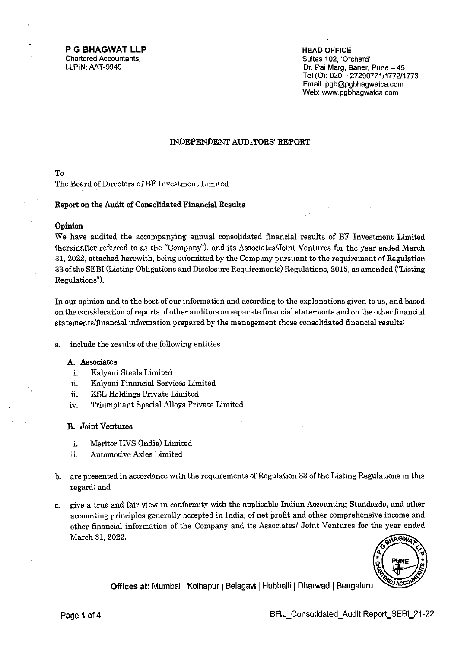**HEAD OFFICE**  Suites 102, 'Orchard' Dr. Pai Marg, Baner, Pune - 45 Tel (0): 020 -27290771/1772/1773 Email: pgb@pgbhagwatca.com Web: www.pgbhagwatca.com

# INDEPENDENT AUDITORS' REPORT

The Board of Directors of BF Investment Limited

## Report on the Audit of Consolidated Financial Results

## **Opinion**

To

We have audited the accompanying annual consolidated financial results of BF Investment Limited (hereinafter referred to as the "Company"), and its Associates/Joint Ventures for the year ended March 31, 2022, attached herewith, being submitted by the Company pursuant to the requirement of Regulation 33 of the SEBI (Listing Obligations and Disclosure Requirements) Regulations, 2015, as amended ("Listing Regulations").

In our opinion and to the best of our information and according to the explanations given to us, and based on the consideration ofreports of other auditors on separate financial statements and on the other financial statements/financial information prepared by the management these consolidated financial results:

# a. include the results of the following entities

# **A. Associates**

- i. Kalyani Steels Limited
- ii. Kalyani Financial Services Limited
- iii. KSL Holdings Private Limited
- iv. Triumphant Special Alloys Private Limited

### **B. JointVentures**

- i. Meritor HVS (India) Limited
- ii. Automotive Axles Limited
- b. are presented in accordance with the requirements of Regulation 33 of the Listing Regulations in this regard; and
- c. give a true and fair view in conformity with the applicable Indian Accounting Standards, and other accounting principles generally accepted in India, of net profit and other comprehensive income and other financial information of the Company and its Associates/ Joint Ventures for the year ended March 31, 2022.



Offices at: Mumbai | Kolhapur | Belagavi | Hubballi | Dharwad | Bengaluru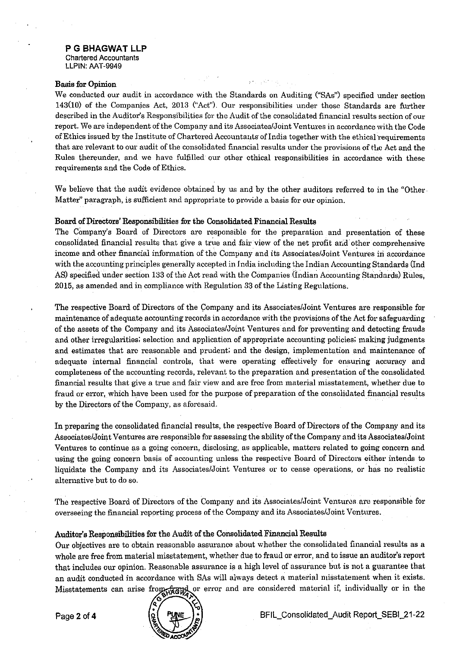# **PG BHAGWAT LLP**  Chartered Accountants

LLPIN: AAT-9949

# **Basis for Opinion**

We conducted our audit in accordance with the Standards on Auditing ("SAs") specified under section 143(10) of the Companies Act, 2013 ("Act"). Our responsibilities under those Standards are further described in the Auditor's Responsibilities for the Audit of the consolidated financial results section of our report. We are independent of the Company and its Associates/Joint Ventures in accordance with the Code of Ethics issued by the Institute of Chartered Accountants of India together with the ethical requirements that are relevant to our audit of the consolidated financial results under the provisions of the Act and the Rules thereunder, and we have fulfilled our other ethical responsibilities in accordance with these requirements and the Code of Ethics.

We believe that the audit evidence obtained by us and by the other auditors referred to in the "Other" Matter" paragraph, is sufficient and appropriate to provide a basis for our opinion.

# Board of Directors' Responsibilities for the Consolidated Financial Results

The Company's Board of Directors are responsible for the preparation and presentation of these consolidated financial results that give a true and fair view of the net profit ar,d other comprehensive income and other financial information of the Company and its Associates/Joint Ventures iri accordance with the accounting principles generally accepted in India including the Indian Accounting Standards (Ind AS) specified under section 133 of the Act read with the Companies (Indian Accounting Standards) Rules, 2015, as amended and in compliance with Regulation 33 of the Listing Regulations.

The respective Board of Directors of the Qompany and its Associates/Joint Ventures are responsible for maintenance of adequate accounting records in accordance with the provisions of the Act for safeguarding of the assets of the Company and its Associates/Joint Ventures and for preventing and detecting frauds and other irregularities; selection and application of appropriate accounting policies; making judgments and estimates that arc reasonable and prudent; and the design, implementation and maintenance of adequate internal financial controls, that were operating effectively for ensuring accuracy and completeness of the accounting records, relevant to the preparation and presentation of the consolidated financial results that give a true and fair view and are free from material misstatement, whether due to fraud or error, which have been used for the purpose of preparation of the consolidated financial results by the Directors of the Company, as aforesaid.

In preparing the consolidated financial results, the respective Board of Directors of the Company and its Associates/Joint Ventures are responsible for assessing the ability of the Company and its Associates/Joint Ventures to continue as a going concern, disclosing, as applicable, matters related to going concern and using the going concern basis of accounting unless the respective Board of Directors either intends to liquidate the Company and its Associates/Joint Ventures or to cease operations, or has no realistic alternative but to do so.

The respective Board of Directors of the Company and its Associates/Joint Ventures are responsible for overseeing the financial reporting process of the Company and its Associates/Joint Ventures.

# Auditor's Responsibilities for the Audit of the Consolidated Financial Results

Our objectives are to obtain reasonable assurance about whether the consolidated financial results as a whole are free from material misstatement, whether due to fraud or error, and to issue an auditor's report that includes our opinion. Reasonable assurance is a high level of assurance but is not a guarantee that an audit conducted in accordance with SAs will always detect a material misstatement when it exists. Misstatements can arise from  $\frac{1}{2}$  or error and are considered material if, individually or in the

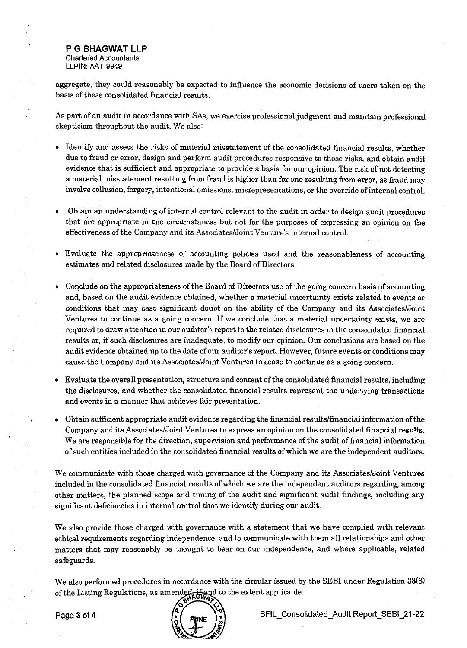# **PG BHAGWAT LLP**  Chartered Accountants **LLPIN:** AAT-9949

aggregate, they could reasonably be expected to influence the economic decisions of users taken on the basis of these consolidated financial results.

As part of an audit in accordance with SAs, we exercise professional judgment and maintain professional skepticism throughout the audit. We also:

- Identify and assess the risks of material misstatement of the consolidated financial results, whether due to fraud or error, design and perform audit procedures responsive to those risks, and obtain audit evidence that is sufficient and appropriate to provide a basis for our opinion. The risk of not detecting a material misstatement resulting from fraud is higher than for one resulting from error, as fraud may involve collusion, forgery, intentional omissions, misrepresentations, or the override ofinternal control.
- Obtain an understanding of internal control relevant to the audit in order to design audit procedures that are appropriate in the circumstances but not for the purposes of expressing an opinion on the effectiveness of the Company and its Associates/Joint Venture's internal control.
- Evaluate the appropriateness of accounting policies used and the reasonableness of accounting estimates and related disclosures made by the Board of Directors.
- Conclude on the appropriateness of the Board of Directors use of the going concern basis of accounting and, based on the audit evidence obtained, whether a material uncertainty exists related to events or conditions that may cast significant doubt on the ability of the Company and its Associates/Joint Ventures to continue as a going concern. If we conclude that a material uncertainty exists, we are required to draw attention in our auditor's report to the related disclosures in the consolidated financial results or, if such disclosures are inadequate, to modify our opinion. Our conclusions are based on the audit evidence obtained up to the date of our auditor's report. However, future events or conditions may cause the Company and its Associates/Joint Ventures to cease to continue as a going concern.
- Evaluate the overall presentation, structure and content of the consolidated financial results, including the disclosures, and whether the consolidated financial results represent the underlying transactions and events in a manner that achieves fair presentation.
- Obtain sufficient appropriate audit evidence regarding the financial results/financial information of the Company and its Associates/Joint Ventures to express an opinion on the consolidated financial results. We are responsible for the direction, supervision and performance of the audit of financial information of such entities included in the consolidated financial results of which we are the independent auditors.

We communicate with those charged with governance of the Company and its Associates/Joint Ventures included in the consolidated financial results of which we are the independent auditors regarding, among other matters, the planned scope and timing of the audit and significant audit findings, including any significant deficiencies in internal control that we identify during our audit.

We also provide those charged with governance with a statement that we have complied with relevant ethical requirements regarding independence, and to communicate with them all relationships and other matters that may reasonably be thought to bear on our independence, and where applicable, related safeguards.

We also performed procedures in accordance with the circular issued by the SEBI under Regulation 33(8) of the Listing Regulations, as amended  $\frac{1}{4}$  and to the extent applicable.



Page 3 of 4 *age 3 of 4 All <b>Pricipalities*  $\binom{6}{k}$  **BFIL\_Consolidated\_Audit Report\_SEBI\_21-22**